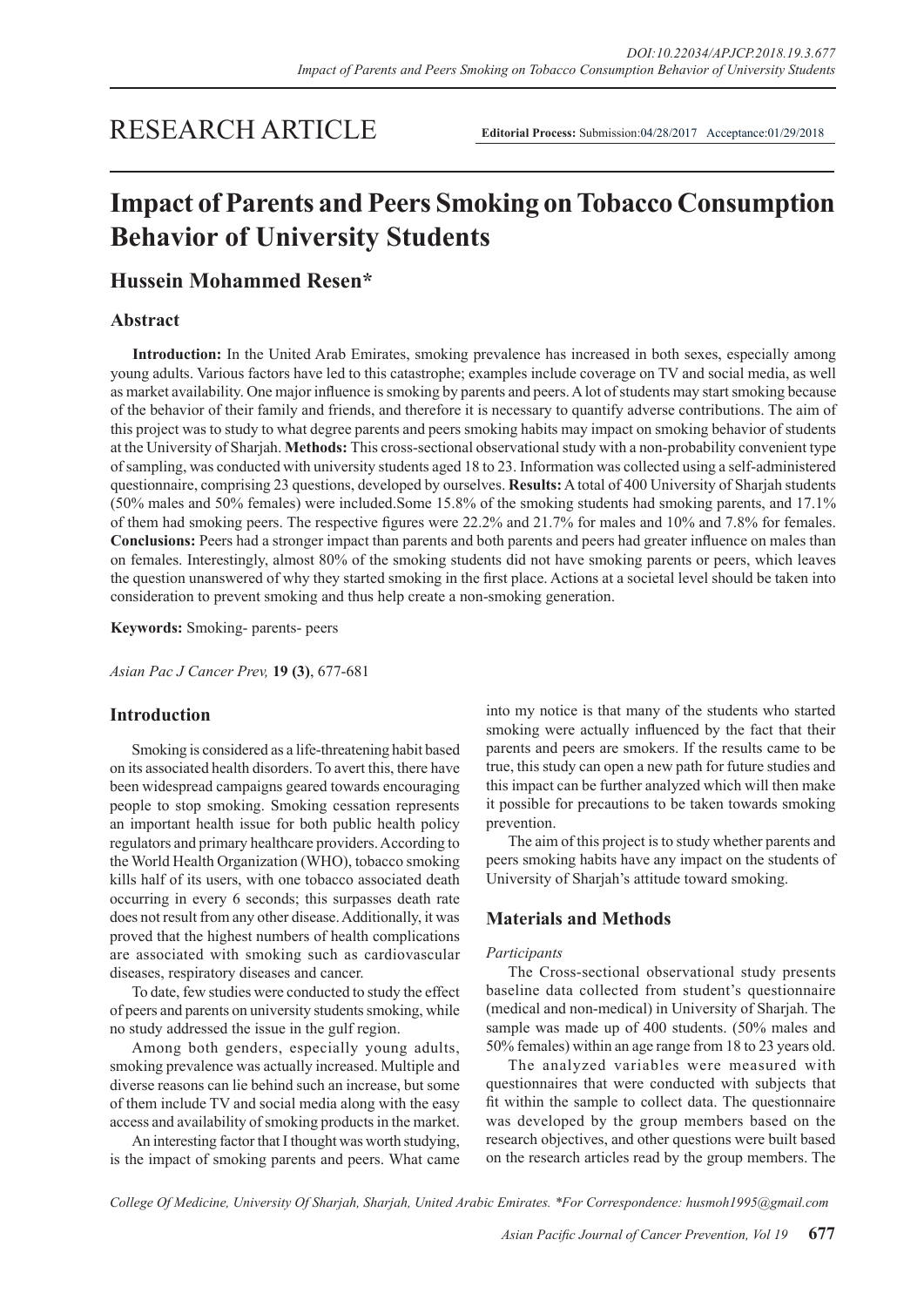# RESEARCH ARTICLE

**Editorial Process:** Submission:04/28/2017Acceptance:01/29/2018

# **Impact of Parents and Peers Smoking on Tobacco Consumption Behavior of University Students**

## **Hussein Mohammed Resen\***

## **Abstract**

**Introduction:** In the United Arab Emirates, smoking prevalence has increased in both sexes, especially among young adults. Various factors have led to this catastrophe; examples include coverage on TV and social media, as well as market availability. One major influence is smoking by parents and peers. A lot of students may start smoking because of the behavior of their family and friends, and therefore it is necessary to quantify adverse contributions. The aim of this project was to study to what degree parents and peers smoking habits may impact on smoking behavior of students at the University of Sharjah. **Methods:** This cross-sectional observational study with a non-probability convenient type of sampling, was conducted with university students aged 18 to 23. Information was collected using a self-administered questionnaire, comprising 23 questions, developed by ourselves. **Results:** A total of 400 University of Sharjah students (50% males and 50% females) were included.Some 15.8% of the smoking students had smoking parents, and 17.1% of them had smoking peers. The respective figures were 22.2% and 21.7% for males and 10% and 7.8% for females. **Conclusions:** Peers had a stronger impact than parents and both parents and peers had greater influence on males than on females. Interestingly, almost 80% of the smoking students did not have smoking parents or peers, which leaves the question unanswered of why they started smoking in the first place. Actions at a societal level should be taken into consideration to prevent smoking and thus help create a non-smoking generation.

**Keywords:** Smoking- parents- peers

*Asian Pac J Cancer Prev,* **19 (3)**, 677-681

## **Introduction**

Smoking is considered as a life-threatening habit based on its associated health disorders. To avert this, there have been widespread campaigns geared towards encouraging people to stop smoking. Smoking cessation represents an important health issue for both public health policy regulators and primary healthcare providers. According to the World Health Organization (WHO), tobacco smoking kills half of its users, with one tobacco associated death occurring in every 6 seconds; this surpasses death rate does not result from any other disease. Additionally, it was proved that the highest numbers of health complications are associated with smoking such as cardiovascular diseases, respiratory diseases and cancer.

To date, few studies were conducted to study the effect of peers and parents on university students smoking, while no study addressed the issue in the gulf region.

Among both genders, especially young adults, smoking prevalence was actually increased. Multiple and diverse reasons can lie behind such an increase, but some of them include TV and social media along with the easy access and availability of smoking products in the market.

An interesting factor that I thought was worth studying, is the impact of smoking parents and peers. What came

into my notice is that many of the students who started smoking were actually influenced by the fact that their parents and peers are smokers. If the results came to be true, this study can open a new path for future studies and this impact can be further analyzed which will then make it possible for precautions to be taken towards smoking prevention.

The aim of this project is to study whether parents and peers smoking habits have any impact on the students of University of Sharjah's attitude toward smoking.

## **Materials and Methods**

#### *Participants*

The Cross-sectional observational study presents baseline data collected from student's questionnaire (medical and non-medical) in University of Sharjah. The sample was made up of 400 students. (50% males and 50% females) within an age range from 18 to 23 years old.

The analyzed variables were measured with questionnaires that were conducted with subjects that fit within the sample to collect data. The questionnaire was developed by the group members based on the research objectives, and other questions were built based on the research articles read by the group members. The

*College Of Medicine, University Of Sharjah, Sharjah, United Arabic Emirates. \*For Correspondence: husmoh1995@gmail.com*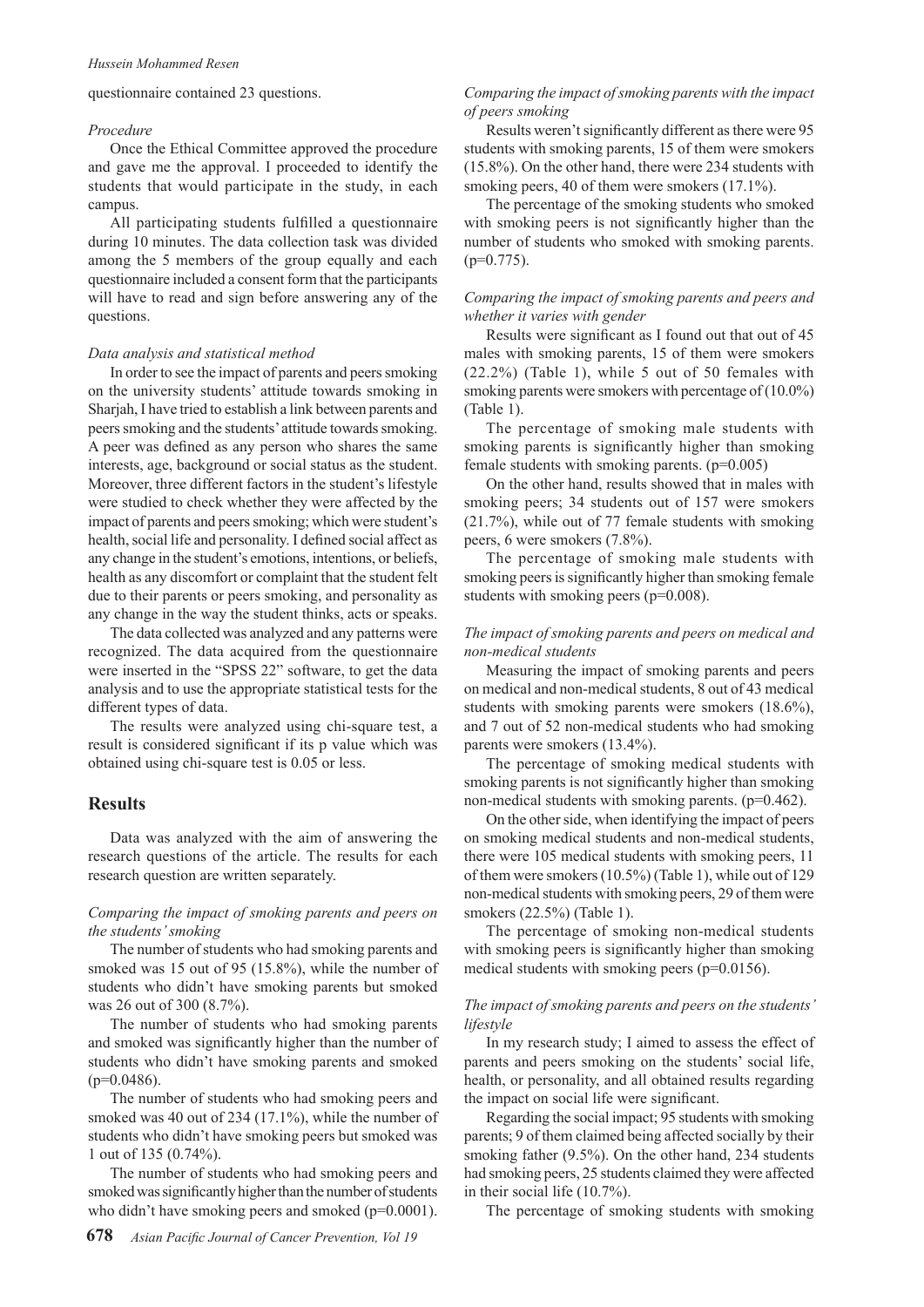#### questionnaire contained 23 questions.

#### *Procedure*

Once the Ethical Committee approved the procedure and gave me the approval. I proceeded to identify the students that would participate in the study, in each campus.

All participating students fulfilled a questionnaire during 10 minutes. The data collection task was divided among the 5 members of the group equally and each questionnaire included a consent form that the participants will have to read and sign before answering any of the questions.

#### *Data analysis and statistical method*

In order to see the impact of parents and peers smoking on the university students' attitude towards smoking in Sharjah, I have tried to establish a link between parents and peers smoking and the students' attitude towards smoking. A peer was defined as any person who shares the same interests, age, background or social status as the student. Moreover, three different factors in the student's lifestyle were studied to check whether they were affected by the impact of parents and peers smoking; which were student's health, social life and personality. I defined social affect as any change in the student's emotions, intentions, or beliefs, health as any discomfort or complaint that the student felt due to their parents or peers smoking, and personality as any change in the way the student thinks, acts or speaks.

The data collected was analyzed and any patterns were recognized. The data acquired from the questionnaire were inserted in the "SPSS 22" software, to get the data analysis and to use the appropriate statistical tests for the different types of data.

The results were analyzed using chi-square test, a result is considered significant if its p value which was obtained using chi-square test is 0.05 or less.

### **Results**

Data was analyzed with the aim of answering the research questions of the article. The results for each research question are written separately.

#### *Comparing the impact of smoking parents and peers on the students' smoking*

The number of students who had smoking parents and smoked was 15 out of 95 (15.8%), while the number of students who didn't have smoking parents but smoked was 26 out of 300 (8.7%).

The number of students who had smoking parents and smoked was significantly higher than the number of students who didn't have smoking parents and smoked  $(p=0.0486)$ .

The number of students who had smoking peers and smoked was 40 out of 234 (17.1%), while the number of students who didn't have smoking peers but smoked was 1 out of 135 (0.74%).

The number of students who had smoking peers and smoked was significantly higher than the number of students who didn't have smoking peers and smoked (p=0.0001).

## *Comparing the impact of smoking parents with the impact of peers smoking*

Results weren't significantly different as there were 95 students with smoking parents, 15 of them were smokers (15.8%). On the other hand, there were 234 students with smoking peers, 40 of them were smokers  $(17.1\%)$ .

The percentage of the smoking students who smoked with smoking peers is not significantly higher than the number of students who smoked with smoking parents.  $(p=0.775)$ .

#### *Comparing the impact of smoking parents and peers and whether it varies with gender*

Results were significant as I found out that out of 45 males with smoking parents, 15 of them were smokers (22.2%) (Table 1), while 5 out of 50 females with smoking parents were smokers with percentage of (10.0%) (Table 1).

The percentage of smoking male students with smoking parents is significantly higher than smoking female students with smoking parents. (p=0.005)

On the other hand, results showed that in males with smoking peers; 34 students out of 157 were smokers (21.7%), while out of 77 female students with smoking peers, 6 were smokers (7.8%).

The percentage of smoking male students with smoking peers is significantly higher than smoking female students with smoking peers (p=0.008).

#### *The impact of smoking parents and peers on medical and non-medical students*

Measuring the impact of smoking parents and peers on medical and non-medical students, 8 out of 43 medical students with smoking parents were smokers (18.6%), and 7 out of 52 non-medical students who had smoking parents were smokers (13.4%).

The percentage of smoking medical students with smoking parents is not significantly higher than smoking non-medical students with smoking parents. (p=0.462).

On the other side, when identifying the impact of peers on smoking medical students and non-medical students, there were 105 medical students with smoking peers, 11 of them were smokers (10.5%) (Table 1), while out of 129 non-medical students with smoking peers, 29 of them were smokers (22.5%) (Table 1).

The percentage of smoking non-medical students with smoking peers is significantly higher than smoking medical students with smoking peers (p=0.0156).

#### *The impact of smoking parents and peers on the students' lifestyle*

In my research study; I aimed to assess the effect of parents and peers smoking on the students' social life, health, or personality, and all obtained results regarding the impact on social life were significant.

Regarding the social impact; 95 students with smoking parents; 9 of them claimed being affected socially by their smoking father (9.5%). On the other hand, 234 students had smoking peers, 25 students claimed they were affected in their social life (10.7%).

The percentage of smoking students with smoking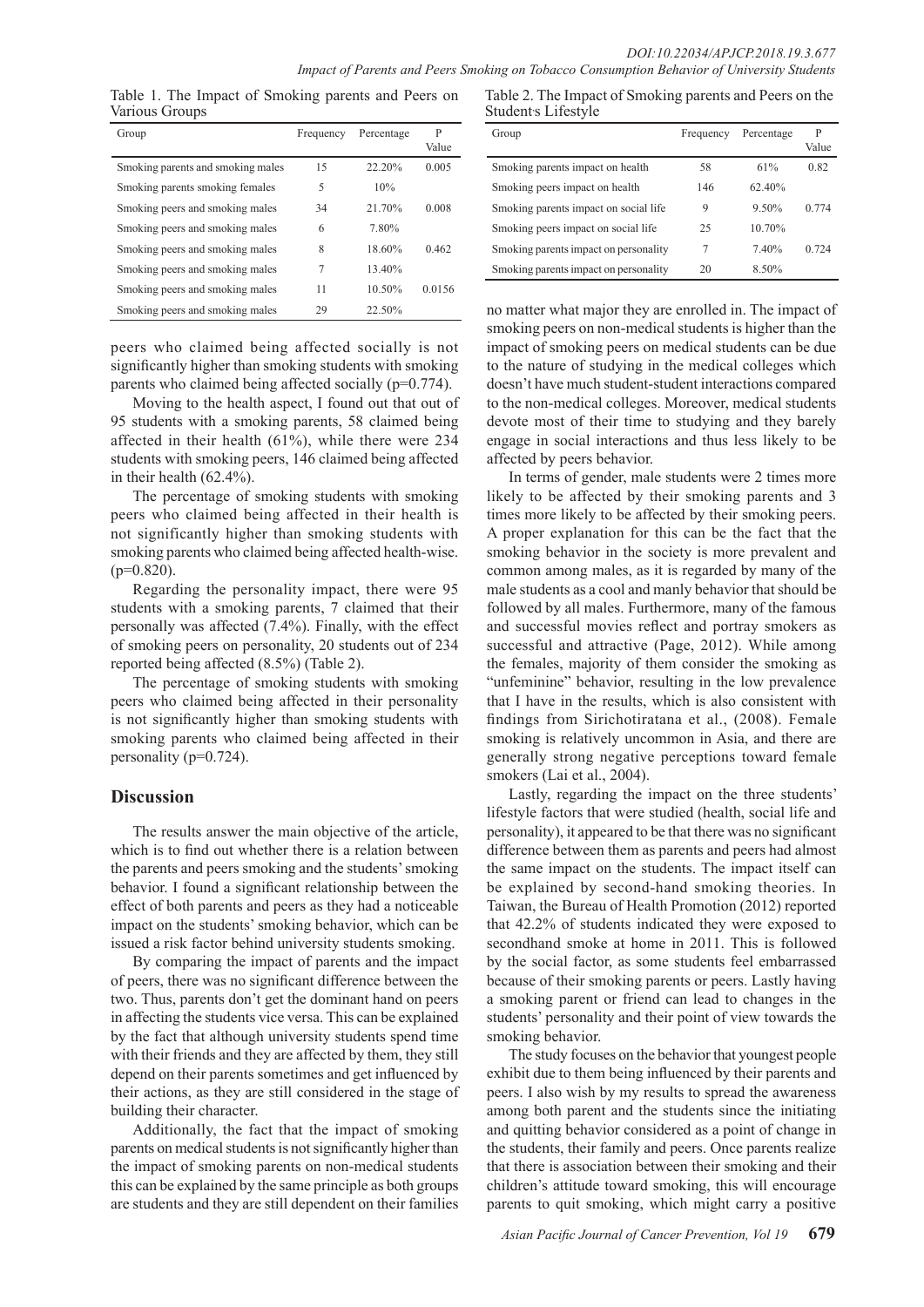Table 1. The Impact of Smoking parents and Peers on Various Groups

| Group                             | Frequency | Percentage | P<br>Value |
|-----------------------------------|-----------|------------|------------|
| Smoking parents and smoking males | 15        | $22.20\%$  | 0.005      |
| Smoking parents smoking females   | 5         | 10%        |            |
| Smoking peers and smoking males   | 34        | 21 70%     | 0.008      |
| Smoking peers and smoking males   | 6         | 7.80%      |            |
| Smoking peers and smoking males   | 8         | 18.60%     | 0.462      |
| Smoking peers and smoking males   | 7         | 13.40%     |            |
| Smoking peers and smoking males   | 11        | 10.50%     | 0.0156     |
| Smoking peers and smoking males   | 29        | 22.50%     |            |

peers who claimed being affected socially is not significantly higher than smoking students with smoking parents who claimed being affected socially (p=0.774).

Moving to the health aspect, I found out that out of 95 students with a smoking parents, 58 claimed being affected in their health (61%), while there were 234 students with smoking peers, 146 claimed being affected in their health (62.4%).

The percentage of smoking students with smoking peers who claimed being affected in their health is not significantly higher than smoking students with smoking parents who claimed being affected health-wise.  $(p=0.820)$ .

Regarding the personality impact, there were 95 students with a smoking parents, 7 claimed that their personally was affected (7.4%). Finally, with the effect of smoking peers on personality, 20 students out of 234 reported being affected (8.5%) (Table 2).

The percentage of smoking students with smoking peers who claimed being affected in their personality is not significantly higher than smoking students with smoking parents who claimed being affected in their personality (p=0.724).

## **Discussion**

The results answer the main objective of the article, which is to find out whether there is a relation between the parents and peers smoking and the students' smoking behavior. I found a significant relationship between the effect of both parents and peers as they had a noticeable impact on the students' smoking behavior, which can be issued a risk factor behind university students smoking.

By comparing the impact of parents and the impact of peers, there was no significant difference between the two. Thus, parents don't get the dominant hand on peers in affecting the students vice versa. This can be explained by the fact that although university students spend time with their friends and they are affected by them, they still depend on their parents sometimes and get influenced by their actions, as they are still considered in the stage of building their character.

Additionally, the fact that the impact of smoking parents on medical students is not significantly higher than the impact of smoking parents on non-medical students this can be explained by the same principle as both groups are students and they are still dependent on their families

Table 2. The Impact of Smoking parents and Peers on the Student<sub>'s</sub> Lifestyle

| Group                                 | Frequency | Percentage | P<br>Value |
|---------------------------------------|-----------|------------|------------|
| Smoking parents impact on health.     | 58        | 61%        | 0.82       |
| Smoking peers impact on health.       | 146       | 62.40%     |            |
| Smoking parents impact on social life | 9         | 9.50%      | 0.774      |
| Smoking peers impact on social life   | 25        | 10.70%     |            |
| Smoking parents impact on personality | 7         | 7.40%      | 0.724      |
| Smoking parents impact on personality | 20        | 8.50%      |            |

no matter what major they are enrolled in. The impact of smoking peers on non-medical students is higher than the impact of smoking peers on medical students can be due to the nature of studying in the medical colleges which doesn't have much student-student interactions compared to the non-medical colleges. Moreover, medical students devote most of their time to studying and they barely engage in social interactions and thus less likely to be affected by peers behavior.

In terms of gender, male students were 2 times more likely to be affected by their smoking parents and 3 times more likely to be affected by their smoking peers. A proper explanation for this can be the fact that the smoking behavior in the society is more prevalent and common among males, as it is regarded by many of the male students as a cool and manly behavior that should be followed by all males. Furthermore, many of the famous and successful movies reflect and portray smokers as successful and attractive (Page, 2012). While among the females, majority of them consider the smoking as "unfeminine" behavior, resulting in the low prevalence that I have in the results, which is also consistent with findings from Sirichotiratana et al., (2008). Female smoking is relatively uncommon in Asia, and there are generally strong negative perceptions toward female smokers (Lai et al., 2004).

Lastly, regarding the impact on the three students' lifestyle factors that were studied (health, social life and personality), it appeared to be that there was no significant difference between them as parents and peers had almost the same impact on the students. The impact itself can be explained by second-hand smoking theories. In Taiwan, the Bureau of Health Promotion (2012) reported that 42.2% of students indicated they were exposed to secondhand smoke at home in 2011. This is followed by the social factor, as some students feel embarrassed because of their smoking parents or peers. Lastly having a smoking parent or friend can lead to changes in the students' personality and their point of view towards the smoking behavior.

The study focuses on the behavior that youngest people exhibit due to them being influenced by their parents and peers. I also wish by my results to spread the awareness among both parent and the students since the initiating and quitting behavior considered as a point of change in the students, their family and peers. Once parents realize that there is association between their smoking and their children's attitude toward smoking, this will encourage parents to quit smoking, which might carry a positive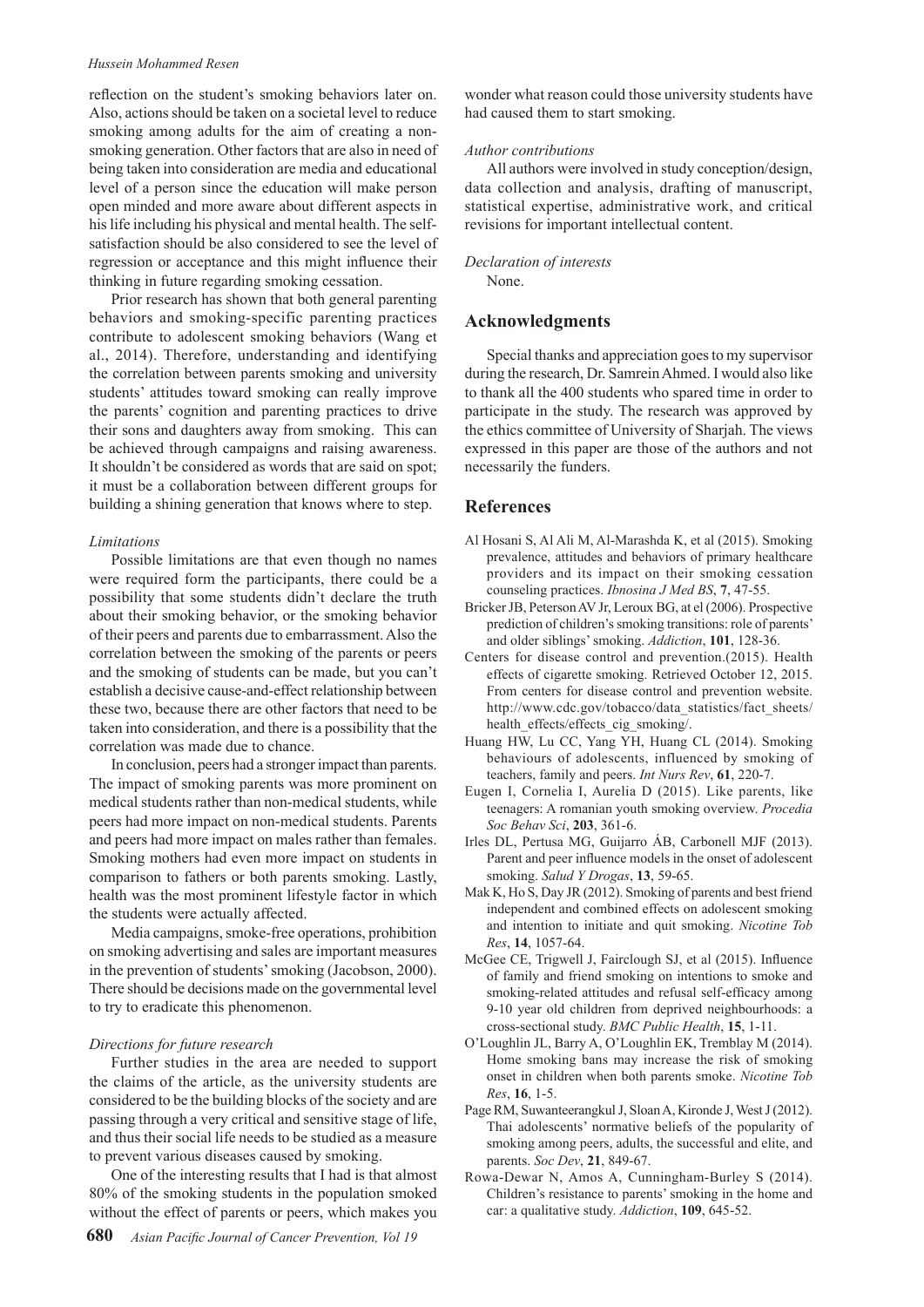#### *Hussein Mohammed Resen*

reflection on the student's smoking behaviors later on. Also, actions should be taken on a societal level to reduce smoking among adults for the aim of creating a nonsmoking generation. Other factors that are also in need of being taken into consideration are media and educational level of a person since the education will make person open minded and more aware about different aspects in his life including his physical and mental health. The selfsatisfaction should be also considered to see the level of regression or acceptance and this might influence their thinking in future regarding smoking cessation.

Prior research has shown that both general parenting behaviors and smoking-specific parenting practices contribute to adolescent smoking behaviors (Wang et al., 2014). Therefore, understanding and identifying the correlation between parents smoking and university students' attitudes toward smoking can really improve the parents' cognition and parenting practices to drive their sons and daughters away from smoking. This can be achieved through campaigns and raising awareness. It shouldn't be considered as words that are said on spot; it must be a collaboration between different groups for building a shining generation that knows where to step.

#### *Limitations*

Possible limitations are that even though no names were required form the participants, there could be a possibility that some students didn't declare the truth about their smoking behavior, or the smoking behavior of their peers and parents due to embarrassment. Also the correlation between the smoking of the parents or peers and the smoking of students can be made, but you can't establish a decisive cause-and-effect relationship between these two, because there are other factors that need to be taken into consideration, and there is a possibility that the correlation was made due to chance.

In conclusion, peers had a stronger impact than parents. The impact of smoking parents was more prominent on medical students rather than non-medical students, while peers had more impact on non-medical students. Parents and peers had more impact on males rather than females. Smoking mothers had even more impact on students in comparison to fathers or both parents smoking. Lastly, health was the most prominent lifestyle factor in which the students were actually affected.

Media campaigns, smoke-free operations, prohibition on smoking advertising and sales are important measures in the prevention of students' smoking (Jacobson, 2000). There should be decisions made on the governmental level to try to eradicate this phenomenon.

#### *Directions for future research*

Further studies in the area are needed to support the claims of the article, as the university students are considered to be the building blocks of the society and are passing through a very critical and sensitive stage of life, and thus their social life needs to be studied as a measure to prevent various diseases caused by smoking.

One of the interesting results that I had is that almost 80% of the smoking students in the population smoked without the effect of parents or peers, which makes you

wonder what reason could those university students have had caused them to start smoking.

#### *Author contributions*

All authors were involved in study conception/design, data collection and analysis, drafting of manuscript, statistical expertise, administrative work, and critical revisions for important intellectual content.

## *Declaration of interests*

None.

### **Acknowledgments**

Special thanks and appreciation goes to my supervisor during the research, Dr. Samrein Ahmed. I would also like to thank all the 400 students who spared time in order to participate in the study. The research was approved by the ethics committee of University of Sharjah. The views expressed in this paper are those of the authors and not necessarily the funders.

## **References**

- Al Hosani S, Al Ali M, Al-Marashda K, et al (2015). Smoking prevalence, attitudes and behaviors of primary healthcare providers and its impact on their smoking cessation counseling practices. *Ibnosina J Med BS*, **7**, 47-55.
- Bricker JB, Peterson AV Jr, Leroux BG, at el (2006). Prospective prediction of children's smoking transitions: role of parents' and older siblings' smoking. *Addiction*, **101**, 128-36.
- Centers for disease control and prevention.(2015). Health effects of cigarette smoking. Retrieved October 12, 2015. From centers for disease control and prevention website. http://www.cdc.gov/tobacco/data\_statistics/fact\_sheets/ health effects/effects cig\_smoking/.
- Huang HW, Lu CC, Yang YH, Huang CL (2014). Smoking behaviours of adolescents, influenced by smoking of teachers, family and peers. *Int Nurs Rev*, **61**, 220-7.
- Eugen I, Cornelia I, Aurelia D (2015). Like parents, like teenagers: A romanian youth smoking overview. *Procedia Soc Behav Sci*, **203**, 361-6.
- Irles DL, Pertusa MG, Guijarro ÁB, Carbonell MJF (2013). Parent and peer influence models in the onset of adolescent smoking. *Salud Y Drogas*, **13**, 59-65.
- Mak K, Ho S, Day JR (2012). Smoking of parents and best friend independent and combined effects on adolescent smoking and intention to initiate and quit smoking. *Nicotine Tob Res*, **14**, 1057-64.
- McGee CE, Trigwell J, Fairclough SJ, et al (2015). Influence of family and friend smoking on intentions to smoke and smoking-related attitudes and refusal self-efficacy among 9-10 year old children from deprived neighbourhoods: a cross-sectional study. *BMC Public Health*, **15**, 1-11.
- O'Loughlin JL, Barry A, O'Loughlin EK, Tremblay M (2014). Home smoking bans may increase the risk of smoking onset in children when both parents smoke. *Nicotine Tob Res*, **16**, 1-5.
- Page RM, Suwanteerangkul J, Sloan A, Kironde J, West J (2012). Thai adolescents' normative beliefs of the popularity of smoking among peers, adults, the successful and elite, and parents. *Soc Dev*, **21**, 849-67.
- Rowa-Dewar N, Amos A, Cunningham-Burley S (2014). Children's resistance to parents' smoking in the home and car: a qualitative study. *Addiction*, **109**, 645-52.